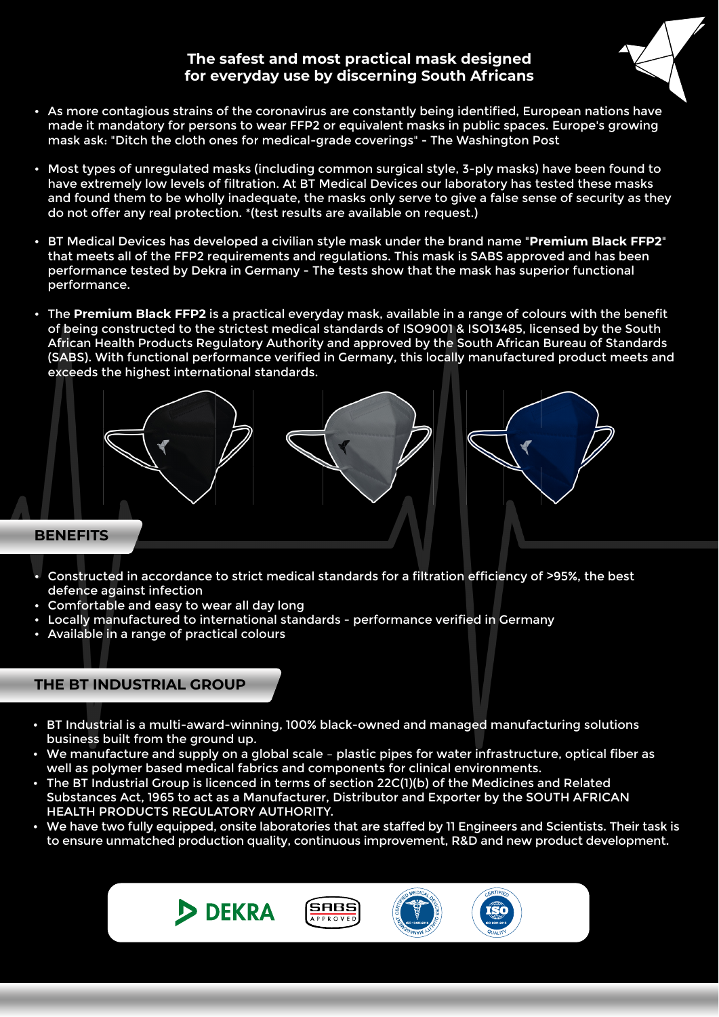## **The safest and most practical mask designed for everyday use by discerning South Africans**



- As more contagious strains of the coronavirus are constantly being identified, European nations have made it mandatory for persons to wear FFP2 or equivalent masks in public spaces. Europe's growing mask ask: "Ditch the cloth ones for medical-grade coverings" - The Washington Post
- Most types of unregulated masks (including common surgical style, 3-ply masks) have been found to have extremely low levels of filtration. At BT Medical Devices our laboratory has tested these masks and found them to be wholly inadequate, the masks only serve to give a false sense of security as they do not offer any real protection. \*(test results are available on request.)
- BT Medical Devices has developed a civilian style mask under the brand name "**Premium Black FFP2**" that meets all of the FFP2 requirements and regulations. This mask is SABS approved and has been performance tested by Dekra in Germany - The tests show that the mask has superior functional performance.
- The **Premium Black FFP2** is a practical everyday mask, available in a range of colours with the benefit of being constructed to the strictest medical standards of ISO9001 & ISO13485, licensed by the South African Health Products Regulatory Authority and approved by the South African Bureau of Standards (SABS). With functional performance verified in Germany, this locally manufactured product meets and exceeds the highest international standards.



- Constructed in accordance to strict medical standards for a filtration efficiency of >95%, the best defence against infection
- Comfortable and easy to wear all day long
- Locally manufactured to international standards performance verified in Germany
- Available in a range of practical colours

## **THE BT INDUSTRIAL GROUP**

- BT Industrial is a multi-award-winning, 100% black-owned and managed manufacturing solutions business built from the ground up.
- We manufacture and supply on a global scale plastic pipes for water infrastructure, optical fiber as well as polymer based medical fabrics and components for clinical environments.
- The BT Industrial Group is licenced in terms of section 22C(1)(b) of the Medicines and Related Substances Act, 1965 to act as a Manufacturer, Distributor and Exporter by the SOUTH AFRICAN HEALTH PRODUCTS REGULATORY AUTHORITY.
- We have two fully equipped, onsite laboratories that are staffed by 11 Engineers and Scientists. Their task is to ensure unmatched production quality, continuous improvement, R&D and new product development.